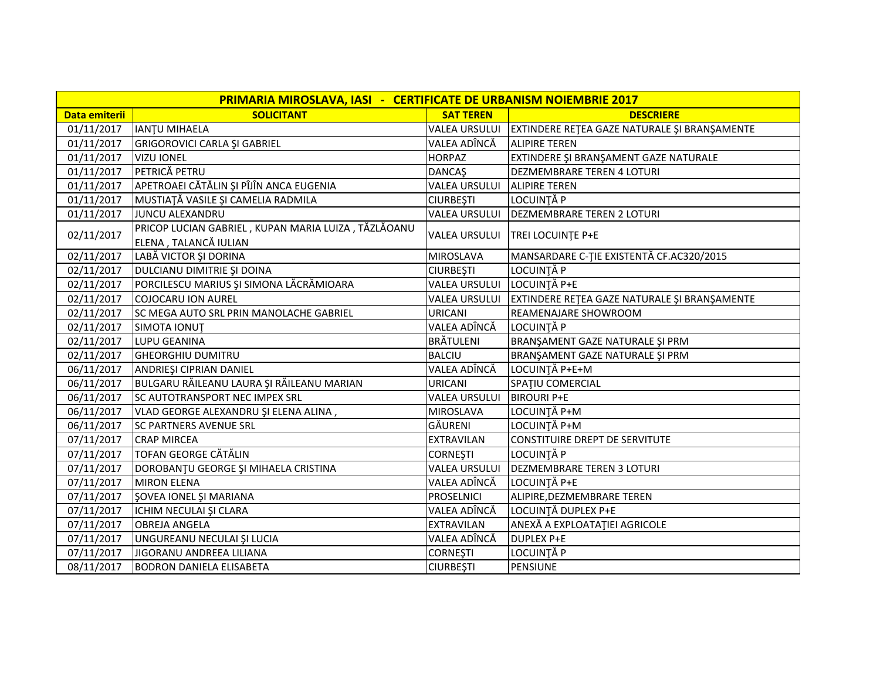| PRIMARIA MIROSLAVA, IASI - CERTIFICATE DE URBANISM NOIEMBRIE 2017 |                                                     |                      |                                                              |  |  |
|-------------------------------------------------------------------|-----------------------------------------------------|----------------------|--------------------------------------------------------------|--|--|
| Data emiterii                                                     | <b>SOLICITANT</b>                                   | <b>SAT TEREN</b>     | <b>DESCRIERE</b>                                             |  |  |
| 01/11/2017                                                        | IANTU MIHAELA                                       |                      | VALEA URSULUI   EXTINDERE REȚEA GAZE NATURALE ȘI BRANȘAMENTE |  |  |
| 01/11/2017                                                        | GRIGOROVICI CARLA ȘI GABRIEL                        | VALEA ADÎNCĂ         | <b>ALIPIRE TEREN</b>                                         |  |  |
| 01/11/2017                                                        | <b>VIZU IONEL</b>                                   | <b>HORPAZ</b>        | EXTINDERE ȘI BRANȘAMENT GAZE NATURALE                        |  |  |
| 01/11/2017                                                        | PETRICĂ PETRU                                       | <b>DANCAŞ</b>        | <b>DEZMEMBRARE TEREN 4 LOTURI</b>                            |  |  |
| 01/11/2017                                                        | APETROAEI CĂTĂLIN ȘI PÎJÎN ANCA EUGENIA             | VALEA URSULUI        | <b>ALIPIRE TEREN</b>                                         |  |  |
| 01/11/2017                                                        | MUSTIAȚĂ VASILE ȘI CAMELIA RADMILA                  | <b>CIURBEȘTI</b>     | LOCUINȚĂ P                                                   |  |  |
| 01/11/2017                                                        | JUNCU ALEXANDRU                                     | <b>VALEA URSULUI</b> | <b>DEZMEMBRARE TEREN 2 LOTURI</b>                            |  |  |
|                                                                   | PRICOP LUCIAN GABRIEL, KUPAN MARIA LUIZA, TĂZLĂOANU | <b>VALEA URSULUI</b> | TREI LOCUINTE P+E                                            |  |  |
| 02/11/2017                                                        | ELENA, TALANCĂ IULIAN                               |                      |                                                              |  |  |
| 02/11/2017                                                        | LABĂ VICTOR ȘI DORINA                               | <b>MIROSLAVA</b>     | MANSARDARE C-TIE EXISTENTĂ CF.AC320/2015                     |  |  |
| 02/11/2017                                                        | DULCIANU DIMITRIE ȘI DOINA                          | <b>CIURBESTI</b>     | LOCUINȚĂ P                                                   |  |  |
| 02/11/2017                                                        | PORCILESCU MARIUS ȘI SIMONA LĂCRĂMIOARA             | VALEA URSULUI        | LOCUINȚĂ P+E                                                 |  |  |
| 02/11/2017                                                        | COJOCARU ION AUREL                                  | <b>VALEA URSULUI</b> | EXTINDERE RETEA GAZE NATURALE ȘI BRANȘAMENTE                 |  |  |
| 02/11/2017                                                        | SC MEGA AUTO SRL PRIN MANOLACHE GABRIEL             | <b>URICANI</b>       | REAMENAJARE SHOWROOM                                         |  |  |
| 02/11/2017                                                        | SIMOTA IONUT                                        | VALEA ADÎNCĂ         | LOCUINȚĂ P                                                   |  |  |
| 02/11/2017                                                        | LUPU GEANINA                                        | <b>BRÄTULENI</b>     | BRANŞAMENT GAZE NATURALE ŞI PRM                              |  |  |
| 02/11/2017                                                        | <b>GHEORGHIU DUMITRU</b>                            | <b>BALCIU</b>        | BRANŞAMENT GAZE NATURALE ŞI PRM                              |  |  |
| 06/11/2017                                                        | ANDRIEȘI CIPRIAN DANIEL                             | VALEA ADÎNCĂ         | LOCUINȚĂ P+E+M                                               |  |  |
| 06/11/2017                                                        | BULGARU RĂILEANU LAURA ȘI RĂILEANU MARIAN           | <b>URICANI</b>       | SPATIU COMERCIAL                                             |  |  |
| 06/11/2017                                                        | <b>SC AUTOTRANSPORT NEC IMPEX SRL</b>               | <b>VALEA URSULUI</b> | <b>BIROURI P+E</b>                                           |  |  |
| 06/11/2017                                                        | VLAD GEORGE ALEXANDRU ȘI ELENA ALINA,               | <b>MIROSLAVA</b>     | LOCUINȚĂ P+M                                                 |  |  |
| 06/11/2017                                                        | <b>SC PARTNERS AVENUE SRL</b>                       | GĂURENI              | LOCUINȚĂ P+M                                                 |  |  |
| 07/11/2017                                                        | <b>CRAP MIRCEA</b>                                  | EXTRAVILAN           | CONSTITUIRE DREPT DE SERVITUTE                               |  |  |
| 07/11/2017                                                        | <b>TOFAN GEORGE CĂTĂLIN</b>                         | <b>CORNEȘTI</b>      | LOCUINȚĂ P                                                   |  |  |
| 07/11/2017                                                        | DOROBANȚU GEORGE ȘI MIHAELA CRISTINA                | VALEA URSULUI        | <b>DEZMEMBRARE TEREN 3 LOTURI</b>                            |  |  |
| 07/11/2017                                                        | <b>MIRON ELENA</b>                                  | VALEA ADÎNCĂ         | LOCUINȚĂ P+E                                                 |  |  |
| 07/11/2017                                                        | ŞOVEA IONEL ŞI MARIANA                              | <b>PROSELNICI</b>    | ALIPIRE, DEZMEMBRARE TEREN                                   |  |  |
| 07/11/2017                                                        | ICHIM NECULAI ȘI CLARA                              | VALEA ADÎNCĂ         | LOCUINȚĂ DUPLEX P+E                                          |  |  |
| 07/11/2017                                                        | <b>OBREJA ANGELA</b>                                | <b>EXTRAVILAN</b>    | ANEXĂ A EXPLOATAȚIEI AGRICOLE                                |  |  |
| 07/11/2017                                                        | UNGUREANU NECULAI ȘI LUCIA                          | VALEA ADÎNCĂ         | <b>DUPLEX P+E</b>                                            |  |  |
| 07/11/2017                                                        | JIGORANU ANDREEA LILIANA                            | <b>CORNEŞTI</b>      | LOCUINȚĂ P                                                   |  |  |
| 08/11/2017                                                        | <b>BODRON DANIELA ELISABETA</b>                     | <b>CIURBEȘTI</b>     | PENSIUNE                                                     |  |  |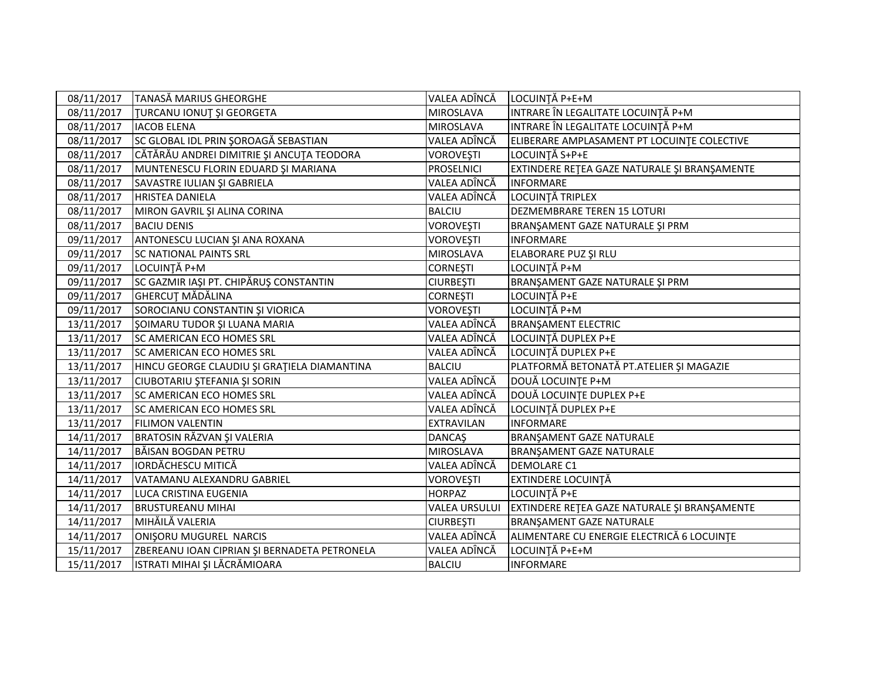| 08/11/2017 | <b>TANASĂ MARIUS GHEORGHE</b>                | VALEA ADÎNCĂ         | LOCUINȚĂ P+E+M                               |
|------------|----------------------------------------------|----------------------|----------------------------------------------|
| 08/11/2017 | <b>TURCANU IONUT ȘI GEORGETA</b>             | MIROSLAVA            | INTRARE ÎN LEGALITATE LOCUINȚĂ P+M           |
| 08/11/2017 | <b>IACOB ELENA</b>                           | MIROSLAVA            | INTRARE ÎN LEGALITATE LOCUINȚĂ P+M           |
| 08/11/2017 | SC GLOBAL IDL PRIN ŞOROAGĂ SEBASTIAN         | VALEA ADÎNCĂ         | ELIBERARE AMPLASAMENT PT LOCUINTE COLECTIVE  |
| 08/11/2017 | CĂTĂRĂU ANDREI DIMITRIE ȘI ANCUȚA TEODORA    | VOROVEŞTI            | LOCUINȚĂ S+P+E                               |
| 08/11/2017 | MUNTENESCU FLORIN EDUARD ȘI MARIANA          | PROSELNICI           | EXTINDERE RETEA GAZE NATURALE ȘI BRANȘAMENTE |
| 08/11/2017 | SAVASTRE IULIAN ȘI GABRIELA                  | VALEA ADÎNCĂ         | <b>INFORMARE</b>                             |
| 08/11/2017 | <b>HRISTEA DANIELA</b>                       | VALEA ADÎNCĂ         | LOCUINȚĂ TRIPLEX                             |
| 08/11/2017 | MIRON GAVRIL ȘI ALINA CORINA                 | <b>BALCIU</b>        | DEZMEMBRARE TEREN 15 LOTURI                  |
| 08/11/2017 | <b>BACIU DENIS</b>                           | VOROVEŞTI            | BRANŞAMENT GAZE NATURALE ŞI PRM              |
| 09/11/2017 | ANTONESCU LUCIAN ȘI ANA ROXANA               | VOROVEŞTI            | <b>INFORMARE</b>                             |
| 09/11/2017 | <b>SC NATIONAL PAINTS SRL</b>                | MIROSLAVA            | ELABORARE PUZ ȘI RLU                         |
| 09/11/2017 | LOCUINȚĂ P+M                                 | <b>CORNEȘTI</b>      | LOCUINȚĂ P+M                                 |
| 09/11/2017 | SC GAZMIR IAȘI PT. CHIPĂRUȘ CONSTANTIN       | <b>CIURBEȘTI</b>     | BRANŞAMENT GAZE NATURALE ŞI PRM              |
| 09/11/2017 | <b>GHERCUT MĂDĂLINA</b>                      | <b>CORNEŞTI</b>      | LOCUINȚĂ P+E                                 |
| 09/11/2017 | SOROCIANU CONSTANTIN ȘI VIORICA              | <b>VOROVEȘTI</b>     | LOCUINȚĂ P+M                                 |
| 13/11/2017 | ŞOIMARU TUDOR ŞI LUANA MARIA                 | VALEA ADÎNCĂ         | <b>BRANSAMENT ELECTRIC</b>                   |
| 13/11/2017 | SC AMERICAN ECO HOMES SRL                    | VALEA ADÎNCĂ         | LOCUINȚĂ DUPLEX P+E                          |
| 13/11/2017 | <b>SC AMERICAN ECO HOMES SRL</b>             | VALEA ADÎNCĂ         | LOCUINȚĂ DUPLEX P+E                          |
| 13/11/2017 | HINCU GEORGE CLAUDIU ȘI GRAȚIELA DIAMANTINA  | <b>BALCIU</b>        | PLATFORMĂ BETONATĂ PT.ATELIER ȘI MAGAZIE     |
| 13/11/2017 | CIUBOTARIU ȘTEFANIA ȘI SORIN                 | VALEA ADÎNCĂ         | DOUĂ LOCUINȚE P+M                            |
| 13/11/2017 | <b>SC AMERICAN ECO HOMES SRL</b>             | VALEA ADÎNCĂ         | DOUĂ LOCUINȚE DUPLEX P+E                     |
| 13/11/2017 | SC AMERICAN ECO HOMES SRL                    | VALEA ADÎNCĂ         | LOCUINȚĂ DUPLEX P+E                          |
| 13/11/2017 | <b>FILIMON VALENTIN</b>                      | <b>EXTRAVILAN</b>    | <b>INFORMARE</b>                             |
| 14/11/2017 | BRATOSIN RĂZVAN ȘI VALERIA                   | <b>DANCAŞ</b>        | <b>BRANŞAMENT GAZE NATURALE</b>              |
| 14/11/2017 | BĂISAN BOGDAN PETRU                          | MIROSLAVA            | BRANŞAMENT GAZE NATURALE                     |
| 14/11/2017 | <b>IORDĂCHESCU MITICĂ</b>                    | VALEA ADÎNCĂ         | <b>DEMOLARE C1</b>                           |
| 14/11/2017 | VATAMANU ALEXANDRU GABRIEL                   | VOROVEŞTI            | <b>EXTINDERE LOCUINTĂ</b>                    |
| 14/11/2017 | LUCA CRISTINA EUGENIA                        | <b>HORPAZ</b>        | LOCUINȚĂ P+E                                 |
| 14/11/2017 | <b>BRUSTUREANU MIHAI</b>                     | <b>VALEA URSULUI</b> | EXTINDERE RETEA GAZE NATURALE ȘI BRANȘAMENTE |
| 14/11/2017 | MIHĂILĂ VALERIA                              | <b>CIURBEȘTI</b>     | BRANŞAMENT GAZE NATURALE                     |
| 14/11/2017 | ONIȘORU MUGUREL NARCIS                       | VALEA ADÎNCĂ         | ALIMENTARE CU ENERGIE ELECTRICĂ 6 LOCUINTE   |
| 15/11/2017 | ZBEREANU IOAN CIPRIAN ȘI BERNADETA PETRONELA | VALEA ADÎNCĂ         | LOCUINȚĂ P+E+M                               |
| 15/11/2017 | ISTRATI MIHAI ȘI LĂCRĂMIOARA                 | <b>BALCIU</b>        | <b>INFORMARE</b>                             |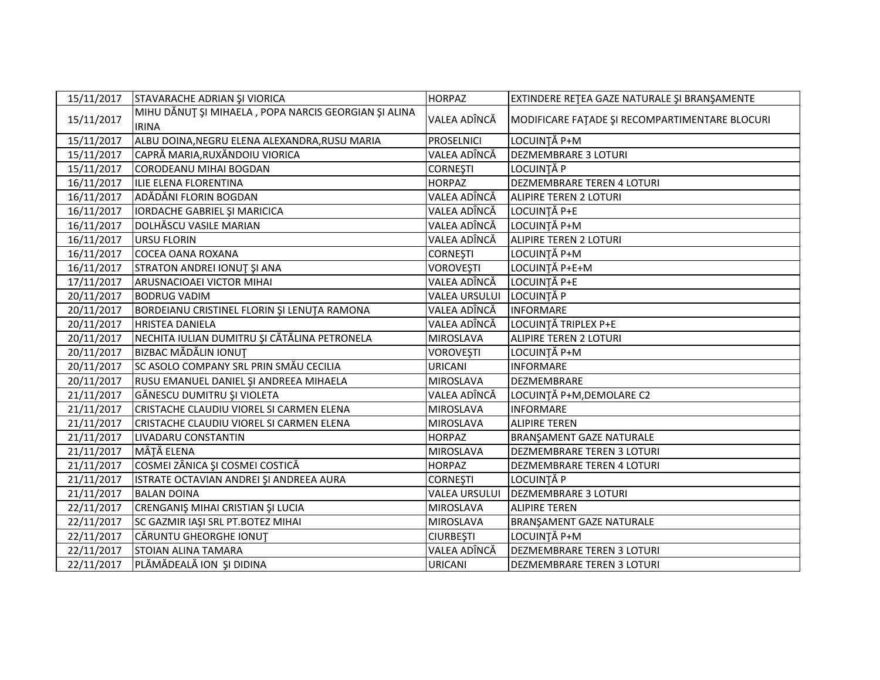| 15/11/2017 | STAVARACHE ADRIAN ȘI VIORICA                                         | <b>HORPAZ</b>        | EXTINDERE RETEA GAZE NATURALE ȘI BRANȘAMENTE   |
|------------|----------------------------------------------------------------------|----------------------|------------------------------------------------|
| 15/11/2017 | MIHU DĂNUȚ ȘI MIHAELA, POPA NARCIS GEORGIAN ȘI ALINA<br><b>IRINA</b> | VALEA ADÎNCĂ         | MODIFICARE FATADE ȘI RECOMPARTIMENTARE BLOCURI |
| 15/11/2017 | ALBU DOINA, NEGRU ELENA ALEXANDRA, RUSU MARIA                        | <b>PROSELNICI</b>    | LOCUINȚĂ P+M                                   |
| 15/11/2017 | CAPRĂ MARIA, RUXĂNDOIU VIORICA                                       | VALEA ADÎNCĂ         | <b>DEZMEMBRARE 3 LOTURI</b>                    |
| 15/11/2017 | <b>CORODEANU MIHAI BOGDAN</b>                                        | <b>CORNEȘTI</b>      | LOCUINȚĂ P                                     |
| 16/11/2017 | ILIE ELENA FLORENTINA                                                | <b>HORPAZ</b>        | DEZMEMBRARE TEREN 4 LOTURI                     |
| 16/11/2017 | ADĂDĂNI FLORIN BOGDAN                                                | VALEA ADÎNCĂ         | ALIPIRE TEREN 2 LOTURI                         |
| 16/11/2017 | IORDACHE GABRIEL ȘI MARICICA                                         | VALEA ADÎNCĂ         | LOCUINȚĂ P+E                                   |
| 16/11/2017 | DOLHĂSCU VASILE MARIAN                                               | VALEA ADÎNCĂ         | LOCUINȚĂ P+M                                   |
| 16/11/2017 | <b>URSU FLORIN</b>                                                   | VALEA ADÎNCĂ         | <b>ALIPIRE TEREN 2 LOTURI</b>                  |
| 16/11/2017 | <b>COCEA OANA ROXANA</b>                                             | <b>CORNEȘTI</b>      | LOCUINȚĂ P+M                                   |
| 16/11/2017 | STRATON ANDREI IONUT ȘI ANA                                          | <b>VOROVEȘTI</b>     | LOCUINȚĂ P+E+M                                 |
| 17/11/2017 | ARUSNACIOAEI VICTOR MIHAI                                            | VALEA ADÎNCĂ         | LOCUINȚĂ P+E                                   |
| 20/11/2017 | <b>BODRUG VADIM</b>                                                  | <b>VALEA URSULUI</b> | LOCUINȚĂ P                                     |
| 20/11/2017 | BORDEIANU CRISTINEL FLORIN ȘI LENUȚA RAMONA                          | VALEA ADÎNCĂ         | <b>INFORMARE</b>                               |
| 20/11/2017 | <b>HRISTEA DANIELA</b>                                               | VALEA ADÎNCĂ         | LOCUINȚĂ TRIPLEX P+E                           |
| 20/11/2017 | NECHITA IULIAN DUMITRU ȘI CĂTĂLINA PETRONELA                         | <b>MIROSLAVA</b>     | ALIPIRE TEREN 2 LOTURI                         |
| 20/11/2017 | <b>BIZBAC MĂDĂLIN IONUT</b>                                          | <b>VOROVEȘTI</b>     | LOCUINȚĂ P+M                                   |
| 20/11/2017 | SC ASOLO COMPANY SRL PRIN SMĂU CECILIA                               | <b>URICANI</b>       | <b>INFORMARE</b>                               |
| 20/11/2017 | RUSU EMANUEL DANIEL ȘI ANDREEA MIHAELA                               | <b>MIROSLAVA</b>     | <b>DEZMEMBRARE</b>                             |
| 21/11/2017 | GĂNESCU DUMITRU ȘI VIOLETA                                           | VALEA ADÎNCĂ         | LOCUINȚĂ P+M, DEMOLARE C2                      |
| 21/11/2017 | CRISTACHE CLAUDIU VIOREL SI CARMEN ELENA                             | <b>MIROSLAVA</b>     | <b>INFORMARE</b>                               |
| 21/11/2017 | CRISTACHE CLAUDIU VIOREL SI CARMEN ELENA                             | <b>MIROSLAVA</b>     | <b>ALIPIRE TEREN</b>                           |
| 21/11/2017 | LIVADARU CONSTANTIN                                                  | <b>HORPAZ</b>        | BRANŞAMENT GAZE NATURALE                       |
| 21/11/2017 | MÂȚĂ ELENA                                                           | <b>MIROSLAVA</b>     | <b>DEZMEMBRARE TEREN 3 LOTURI</b>              |
| 21/11/2017 | COSMEI ZÂNICA ȘI COSMEI COSTICĂ                                      | <b>HORPAZ</b>        | DEZMEMBRARE TEREN 4 LOTURI                     |
| 21/11/2017 | ISTRATE OCTAVIAN ANDREI ȘI ANDREEA AURA                              | <b>CORNEȘTI</b>      | LOCUINȚĂ P                                     |
| 21/11/2017 | <b>BALAN DOINA</b>                                                   | <b>VALEA URSULUI</b> | <b>DEZMEMBRARE 3 LOTURI</b>                    |
| 22/11/2017 | CRENGANIŞ MIHAI CRISTIAN ŞI LUCIA                                    | <b>MIROSLAVA</b>     | <b>ALIPIRE TEREN</b>                           |
| 22/11/2017 | SC GAZMIR IAŞI SRL PT.BOTEZ MIHAI                                    | <b>MIROSLAVA</b>     | BRANŞAMENT GAZE NATURALE                       |
| 22/11/2017 | CĂRUNTU GHEORGHE IONUT                                               | <b>CIURBEȘTI</b>     | LOCUINȚĂ P+M                                   |
| 22/11/2017 | <b>STOIAN ALINA TAMARA</b>                                           | VALEA ADÎNCĂ         | DEZMEMBRARE TEREN 3 LOTURI                     |
| 22/11/2017 | PLĂMĂDEALĂ ION ȘI DIDINA                                             | <b>URICANI</b>       | <b>DEZMEMBRARE TEREN 3 LOTURI</b>              |